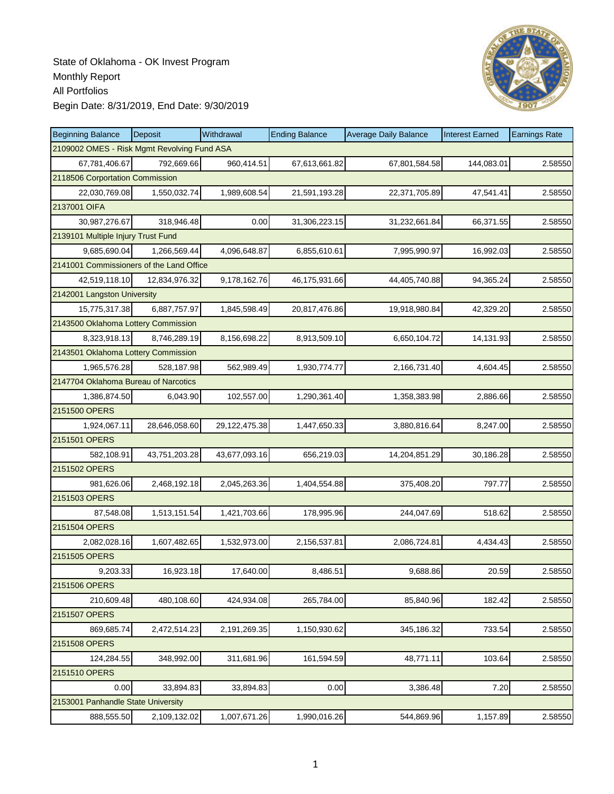

| <b>Beginning Balance</b>                    | <b>Deposit</b> | Withdrawal    | <b>Ending Balance</b> | <b>Average Daily Balance</b> | <b>Interest Earned</b> | <b>Earnings Rate</b> |
|---------------------------------------------|----------------|---------------|-----------------------|------------------------------|------------------------|----------------------|
| 2109002 OMES - Risk Mgmt Revolving Fund ASA |                |               |                       |                              |                        |                      |
| 67,781,406.67                               | 792,669.66     | 960,414.51    | 67,613,661.82         | 67,801,584.58                | 144,083.01             | 2.58550              |
| 2118506 Corportation Commission             |                |               |                       |                              |                        |                      |
| 22,030,769.08                               | 1,550,032.74   | 1,989,608.54  | 21,591,193.28         | 22,371,705.89                | 47,541.41              | 2.58550              |
| 2137001 OIFA                                |                |               |                       |                              |                        |                      |
| 30,987,276.67                               | 318,946.48     | 0.00          | 31,306,223.15         | 31,232,661.84                | 66,371.55              | 2.58550              |
| 2139101 Multiple Injury Trust Fund          |                |               |                       |                              |                        |                      |
| 9,685,690.04                                | 1,266,569.44   | 4,096,648.87  | 6,855,610.61          | 7,995,990.97                 | 16,992.03              | 2.58550              |
| 2141001 Commissioners of the Land Office    |                |               |                       |                              |                        |                      |
| 42,519,118.10                               | 12,834,976.32  | 9,178,162.76  | 46,175,931.66         | 44,405,740.88                | 94,365.24              | 2.58550              |
| 2142001 Langston University                 |                |               |                       |                              |                        |                      |
| 15,775,317.38                               | 6,887,757.97   | 1,845,598.49  | 20,817,476.86         | 19,918,980.84                | 42,329.20              | 2.58550              |
| 2143500 Oklahoma Lottery Commission         |                |               |                       |                              |                        |                      |
| 8,323,918.13                                | 8,746,289.19   | 8,156,698.22  | 8,913,509.10          | 6,650,104.72                 | 14,131.93              | 2.58550              |
| 2143501 Oklahoma Lottery Commission         |                |               |                       |                              |                        |                      |
| 1,965,576.28                                | 528,187.98     | 562,989.49    | 1,930,774.77          | 2,166,731.40                 | 4,604.45               | 2.58550              |
| 2147704 Oklahoma Bureau of Narcotics        |                |               |                       |                              |                        |                      |
| 1,386,874.50                                | 6,043.90       | 102,557.00    | 1,290,361.40          | 1,358,383.98                 | 2,886.66               | 2.58550              |
| 2151500 OPERS                               |                |               |                       |                              |                        |                      |
| 1,924,067.11                                | 28,646,058.60  | 29,122,475.38 | 1,447,650.33          | 3,880,816.64                 | 8,247.00               | 2.58550              |
| 2151501 OPERS                               |                |               |                       |                              |                        |                      |
| 582,108.91                                  | 43,751,203.28  | 43,677,093.16 | 656,219.03            | 14,204,851.29                | 30,186.28              | 2.58550              |
| 2151502 OPERS                               |                |               |                       |                              |                        |                      |
| 981,626.06                                  | 2,468,192.18   | 2,045,263.36  | 1,404,554.88          | 375,408.20                   | 797.77                 | 2.58550              |
| 2151503 OPERS                               |                |               |                       |                              |                        |                      |
| 87,548.08                                   | 1,513,151.54   | 1,421,703.66  | 178,995.96            | 244,047.69                   | 518.62                 | 2.58550              |
| 2151504 OPERS                               |                |               |                       |                              |                        |                      |
| 2,082,028.16                                | 1,607,482.65   | 1,532,973.00  | 2,156,537.81          | 2,086,724.81                 | 4,434.43               | 2.58550              |
| 2151505 OPERS                               |                |               |                       |                              |                        |                      |
| 9,203.33                                    | 16,923.18      | 17,640.00     | 8,486.51              | 9,688.86                     | 20.59                  | 2.58550              |
| 2151506 OPERS                               |                |               |                       |                              |                        |                      |
| 210,609.48                                  | 480,108.60     | 424,934.08    | 265,784.00            | 85,840.96                    | 182.42                 | 2.58550              |
| 2151507 OPERS                               |                |               |                       |                              |                        |                      |
| 869,685.74                                  | 2,472,514.23   | 2,191,269.35  | 1,150,930.62          | 345,186.32                   | 733.54                 | 2.58550              |
| 2151508 OPERS                               |                |               |                       |                              |                        |                      |
| 124,284.55                                  | 348,992.00     | 311,681.96    | 161,594.59            | 48,771.11                    | 103.64                 | 2.58550              |
| 2151510 OPERS                               |                |               |                       |                              |                        |                      |
| 0.00                                        | 33,894.83      | 33,894.83     | 0.00                  | 3,386.48                     | 7.20                   | 2.58550              |
| 2153001 Panhandle State University          |                |               |                       |                              |                        |                      |
| 888,555.50                                  | 2,109,132.02   | 1,007,671.26  | 1,990,016.26          | 544,869.96                   | 1,157.89               | 2.58550              |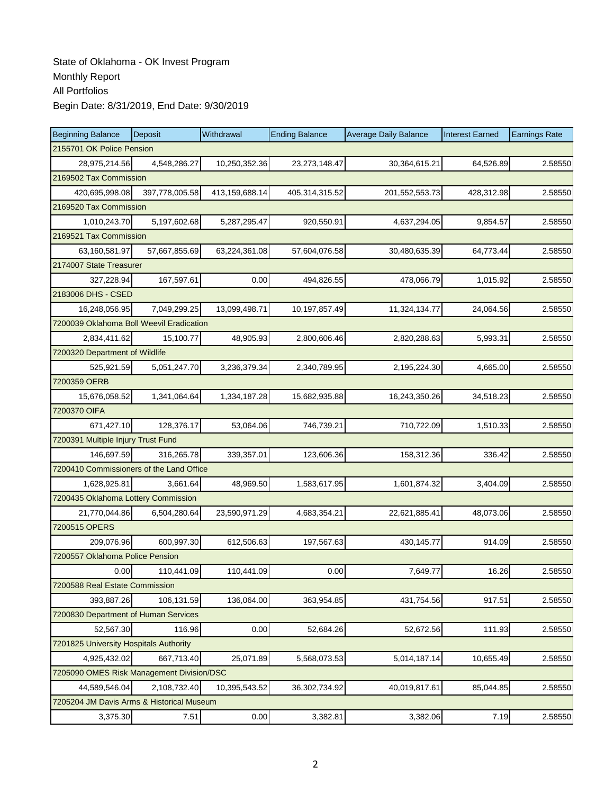| <b>Beginning Balance</b>                  | Deposit        | Withdrawal     | <b>Ending Balance</b> | <b>Average Daily Balance</b> | <b>Interest Earned</b> | <b>Earnings Rate</b> |  |  |
|-------------------------------------------|----------------|----------------|-----------------------|------------------------------|------------------------|----------------------|--|--|
| 2155701 OK Police Pension                 |                |                |                       |                              |                        |                      |  |  |
| 28,975,214.56                             | 4,548,286.27   | 10,250,352.36  | 23,273,148.47         | 30,364,615.21                | 64,526.89              | 2.58550              |  |  |
| 2169502 Tax Commission                    |                |                |                       |                              |                        |                      |  |  |
| 420,695,998.08                            | 397,778,005.58 | 413,159,688.14 | 405,314,315.52        | 201,552,553.73               | 428,312.98             | 2.58550              |  |  |
| 2169520 Tax Commission                    |                |                |                       |                              |                        |                      |  |  |
| 1,010,243.70                              | 5,197,602.68   | 5,287,295.47   | 920,550.91            | 4,637,294.05                 | 9,854.57               | 2.58550              |  |  |
| 2169521 Tax Commission                    |                |                |                       |                              |                        |                      |  |  |
| 63,160,581.97                             | 57,667,855.69  | 63,224,361.08  | 57,604,076.58         | 30,480,635.39                | 64,773.44              | 2.58550              |  |  |
| 2174007 State Treasurer                   |                |                |                       |                              |                        |                      |  |  |
| 327,228.94                                | 167,597.61     | 0.00           | 494,826.55            | 478,066.79                   | 1,015.92               | 2.58550              |  |  |
| 2183006 DHS - CSED                        |                |                |                       |                              |                        |                      |  |  |
| 16,248,056.95                             | 7,049,299.25   | 13,099,498.71  | 10,197,857.49         | 11,324,134.77                | 24,064.56              | 2.58550              |  |  |
| 7200039 Oklahoma Boll Weevil Eradication  |                |                |                       |                              |                        |                      |  |  |
| 2,834,411.62                              | 15,100.77      | 48,905.93      | 2,800,606.46          | 2,820,288.63                 | 5,993.31               | 2.58550              |  |  |
| 7200320 Department of Wildlife            |                |                |                       |                              |                        |                      |  |  |
| 525,921.59                                | 5,051,247.70   | 3,236,379.34   | 2,340,789.95          | 2,195,224.30                 | 4,665.00               | 2.58550              |  |  |
| 7200359 OERB                              |                |                |                       |                              |                        |                      |  |  |
| 15,676,058.52                             | 1,341,064.64   | 1,334,187.28   | 15,682,935.88         | 16,243,350.26                | 34,518.23              | 2.58550              |  |  |
| 7200370 OIFA                              |                |                |                       |                              |                        |                      |  |  |
| 671,427.10                                | 128,376.17     | 53,064.06      | 746,739.21            | 710,722.09                   | 1,510.33               | 2.58550              |  |  |
| 7200391 Multiple Injury Trust Fund        |                |                |                       |                              |                        |                      |  |  |
| 146,697.59                                | 316,265.78     | 339,357.01     | 123,606.36            | 158,312.36                   | 336.42                 | 2.58550              |  |  |
| 7200410 Commissioners of the Land Office  |                |                |                       |                              |                        |                      |  |  |
| 1,628,925.81                              | 3,661.64       | 48,969.50      | 1,583,617.95          | 1,601,874.32                 | 3,404.09               | 2.58550              |  |  |
| 7200435 Oklahoma Lottery Commission       |                |                |                       |                              |                        |                      |  |  |
| 21,770,044.86                             | 6,504,280.64   | 23,590,971.29  | 4,683,354.21          | 22,621,885.41                | 48,073.06              | 2.58550              |  |  |
| 7200515 OPERS                             |                |                |                       |                              |                        |                      |  |  |
| 209,076.96                                | 600,997.30     | 612,506.63     | 197,567.63            | 430,145.77                   | 914.09                 | 2.58550              |  |  |
| 7200557 Oklahoma Police Pension           |                |                |                       |                              |                        |                      |  |  |
| 0.00                                      | 110,441.09     | 110,441.09     | 0.00                  | 7,649.77                     | 16.26                  | 2.58550              |  |  |
| 7200588 Real Estate Commission            |                |                |                       |                              |                        |                      |  |  |
| 393,887.26                                | 106,131.59     | 136,064.00     | 363,954.85            | 431,754.56                   | 917.51                 | 2.58550              |  |  |
| 7200830 Department of Human Services      |                |                |                       |                              |                        |                      |  |  |
| 52,567.30                                 | 116.96         | 0.00           | 52,684.26             | 52,672.56                    | 111.93                 | 2.58550              |  |  |
| 7201825 University Hospitals Authority    |                |                |                       |                              |                        |                      |  |  |
| 4,925,432.02                              | 667,713.40     | 25,071.89      | 5,568,073.53          | 5,014,187.14                 | 10,655.49              | 2.58550              |  |  |
| 7205090 OMES Risk Management Division/DSC |                |                |                       |                              |                        |                      |  |  |
| 44,589,546.04                             | 2,108,732.40   | 10,395,543.52  | 36,302,734.92         | 40,019,817.61                | 85,044.85              | 2.58550              |  |  |
| 7205204 JM Davis Arms & Historical Museum |                |                |                       |                              |                        |                      |  |  |
| 3,375.30                                  | 7.51           | 0.00           | 3,382.81              | 3,382.06                     | 7.19                   | 2.58550              |  |  |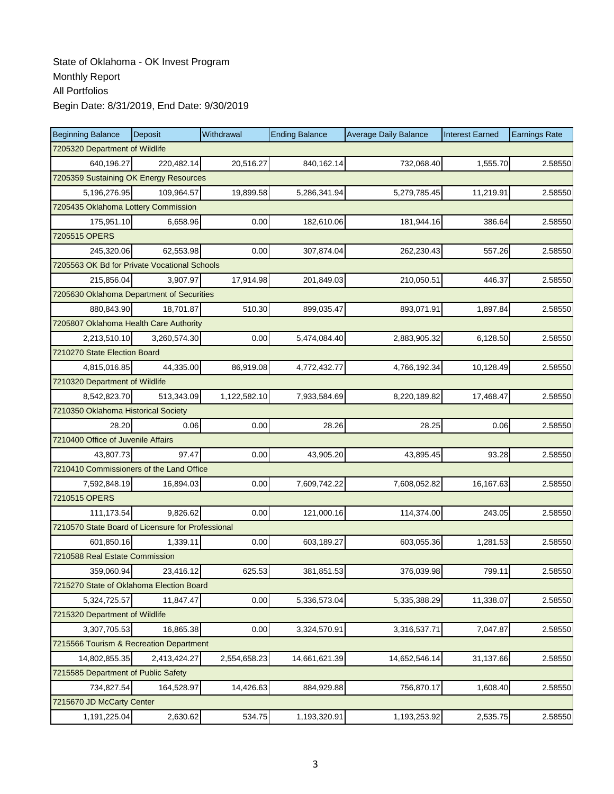| <b>Beginning Balance</b>                          | Deposit      | Withdrawal   | <b>Ending Balance</b> | <b>Average Daily Balance</b> | <b>Interest Earned</b> | <b>Earnings Rate</b> |  |  |  |
|---------------------------------------------------|--------------|--------------|-----------------------|------------------------------|------------------------|----------------------|--|--|--|
| 7205320 Department of Wildlife                    |              |              |                       |                              |                        |                      |  |  |  |
| 640.196.27                                        | 220,482.14   | 20,516.27    | 840,162.14            | 732,068.40                   | 1,555.70               | 2.58550              |  |  |  |
| 7205359 Sustaining OK Energy Resources            |              |              |                       |                              |                        |                      |  |  |  |
| 5,196,276.95                                      | 109,964.57   | 19,899.58    | 5,286,341.94          | 5,279,785.45                 | 11,219.91              | 2.58550              |  |  |  |
| 7205435 Oklahoma Lottery Commission               |              |              |                       |                              |                        |                      |  |  |  |
| 175,951.10                                        | 6,658.96     | 0.00         | 182,610.06            | 181,944.16                   | 386.64                 | 2.58550              |  |  |  |
| 7205515 OPERS                                     |              |              |                       |                              |                        |                      |  |  |  |
| 245,320.06                                        | 62,553.98    | 0.00         | 307,874.04            | 262,230.43                   | 557.26                 | 2.58550              |  |  |  |
| 7205563 OK Bd for Private Vocational Schools      |              |              |                       |                              |                        |                      |  |  |  |
| 215,856.04                                        | 3,907.97     | 17,914.98    | 201,849.03            | 210,050.51                   | 446.37                 | 2.58550              |  |  |  |
| 7205630 Oklahoma Department of Securities         |              |              |                       |                              |                        |                      |  |  |  |
| 880,843.90                                        | 18,701.87    | 510.30       | 899,035.47            | 893,071.91                   | 1,897.84               | 2.58550              |  |  |  |
| 7205807 Oklahoma Health Care Authority            |              |              |                       |                              |                        |                      |  |  |  |
| 2,213,510.10                                      | 3,260,574.30 | 0.00         | 5,474,084.40          | 2,883,905.32                 | 6,128.50               | 2.58550              |  |  |  |
| 7210270 State Election Board                      |              |              |                       |                              |                        |                      |  |  |  |
| 4,815,016.85                                      | 44,335.00    | 86,919.08    | 4,772,432.77          | 4,766,192.34                 | 10,128.49              | 2.58550              |  |  |  |
| 7210320 Department of Wildlife                    |              |              |                       |                              |                        |                      |  |  |  |
| 8,542,823.70                                      | 513,343.09   | 1,122,582.10 | 7,933,584.69          | 8,220,189.82                 | 17,468.47              | 2.58550              |  |  |  |
| 7210350 Oklahoma Historical Society               |              |              |                       |                              |                        |                      |  |  |  |
| 28.20                                             | 0.06         | 0.00         | 28.26                 | 28.25                        | 0.06                   | 2.58550              |  |  |  |
| 7210400 Office of Juvenile Affairs                |              |              |                       |                              |                        |                      |  |  |  |
| 43,807.73                                         | 97.47        | 0.00         | 43,905.20             | 43,895.45                    | 93.28                  | 2.58550              |  |  |  |
| 7210410 Commissioners of the Land Office          |              |              |                       |                              |                        |                      |  |  |  |
| 7,592,848.19                                      | 16,894.03    | 0.00         | 7,609,742.22          | 7,608,052.82                 | 16,167.63              | 2.58550              |  |  |  |
| 7210515 OPERS                                     |              |              |                       |                              |                        |                      |  |  |  |
| 111,173.54                                        | 9,826.62     | 0.00         | 121,000.16            | 114,374.00                   | 243.05                 | 2.58550              |  |  |  |
| 7210570 State Board of Licensure for Professional |              |              |                       |                              |                        |                      |  |  |  |
| 601,850.16                                        | 1,339.11     | 0.00         | 603,189.27            | 603,055.36                   | 1,281.53               | 2.58550              |  |  |  |
| 7210588 Real Estate Commission                    |              |              |                       |                              |                        |                      |  |  |  |
| 359,060.94                                        | 23,416.12    | 625.53       | 381,851.53            | 376,039.98                   | 799.11                 | 2.58550              |  |  |  |
| 7215270 State of Oklahoma Election Board          |              |              |                       |                              |                        |                      |  |  |  |
| 5,324,725.57                                      | 11,847.47    | 0.00         | 5,336,573.04          | 5,335,388.29                 | 11,338.07              | 2.58550              |  |  |  |
| 7215320 Department of Wildlife                    |              |              |                       |                              |                        |                      |  |  |  |
| 3,307,705.53                                      | 16,865.38    | 0.00         | 3,324,570.91          | 3,316,537.71                 | 7,047.87               | 2.58550              |  |  |  |
| 7215566 Tourism & Recreation Department           |              |              |                       |                              |                        |                      |  |  |  |
| 14,802,855.35                                     | 2,413,424.27 | 2,554,658.23 | 14,661,621.39         | 14,652,546.14                | 31,137.66              | 2.58550              |  |  |  |
| 7215585 Department of Public Safety               |              |              |                       |                              |                        |                      |  |  |  |
| 734,827.54                                        | 164,528.97   | 14,426.63    | 884,929.88            | 756,870.17                   | 1,608.40               | 2.58550              |  |  |  |
| 7215670 JD McCarty Center                         |              |              |                       |                              |                        |                      |  |  |  |
| 1,191,225.04                                      | 2,630.62     | 534.75       | 1,193,320.91          | 1,193,253.92                 | 2,535.75               | 2.58550              |  |  |  |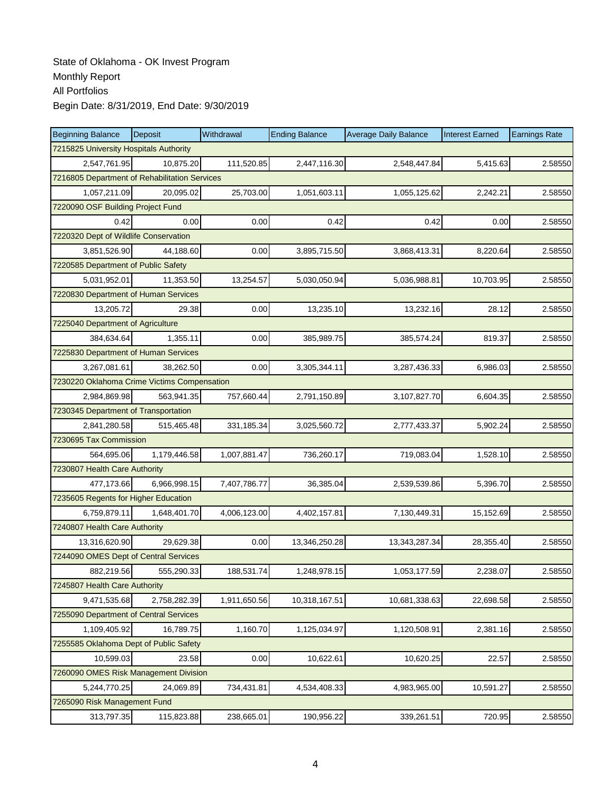| <b>Beginning Balance</b>                      | Deposit                           | Withdrawal   | <b>Ending Balance</b> | <b>Average Daily Balance</b> | <b>Interest Earned</b> | <b>Earnings Rate</b> |  |  |  |  |
|-----------------------------------------------|-----------------------------------|--------------|-----------------------|------------------------------|------------------------|----------------------|--|--|--|--|
| 7215825 University Hospitals Authority        |                                   |              |                       |                              |                        |                      |  |  |  |  |
| 2,547,761.95                                  | 10.875.20                         | 111,520.85   | 2,447,116.30          | 2,548,447.84                 | 5,415.63               | 2.58550              |  |  |  |  |
| 7216805 Department of Rehabilitation Services |                                   |              |                       |                              |                        |                      |  |  |  |  |
| 1,057,211.09                                  | 20,095.02                         | 25,703.00    | 1,051,603.11          | 1,055,125.62                 | 2,242.21               | 2.58550              |  |  |  |  |
|                                               | 7220090 OSF Building Project Fund |              |                       |                              |                        |                      |  |  |  |  |
| 0.42                                          | 0.00                              | 0.00         | 0.42                  | 0.42                         | 0.00                   | 2.58550              |  |  |  |  |
| 7220320 Dept of Wildlife Conservation         |                                   |              |                       |                              |                        |                      |  |  |  |  |
| 3,851,526.90                                  | 44,188.60                         | 0.00         | 3,895,715.50          | 3,868,413.31                 | 8,220.64               | 2.58550              |  |  |  |  |
| 7220585 Department of Public Safety           |                                   |              |                       |                              |                        |                      |  |  |  |  |
| 5,031,952.01                                  | 11,353.50                         | 13,254.57    | 5,030,050.94          | 5,036,988.81                 | 10,703.95              | 2.58550              |  |  |  |  |
| 7220830 Department of Human Services          |                                   |              |                       |                              |                        |                      |  |  |  |  |
| 13,205.72                                     | 29.38                             | 0.00         | 13,235.10             | 13,232.16                    | 28.12                  | 2.58550              |  |  |  |  |
| 7225040 Department of Agriculture             |                                   |              |                       |                              |                        |                      |  |  |  |  |
| 384,634.64                                    | 1,355.11                          | 0.00         | 385,989.75            | 385,574.24                   | 819.37                 | 2.58550              |  |  |  |  |
| 7225830 Department of Human Services          |                                   |              |                       |                              |                        |                      |  |  |  |  |
| 3,267,081.61                                  | 38,262.50                         | 0.00         | 3,305,344.11          | 3,287,436.33                 | 6,986.03               | 2.58550              |  |  |  |  |
| 7230220 Oklahoma Crime Victims Compensation   |                                   |              |                       |                              |                        |                      |  |  |  |  |
| 2,984,869.98                                  | 563,941.35                        | 757,660.44   | 2,791,150.89          | 3,107,827.70                 | 6,604.35               | 2.58550              |  |  |  |  |
| 7230345 Department of Transportation          |                                   |              |                       |                              |                        |                      |  |  |  |  |
| 2,841,280.58                                  | 515,465.48                        | 331,185.34   | 3,025,560.72          | 2,777,433.37                 | 5,902.24               | 2.58550              |  |  |  |  |
| 7230695 Tax Commission                        |                                   |              |                       |                              |                        |                      |  |  |  |  |
| 564,695.06                                    | 1,179,446.58                      | 1,007,881.47 | 736,260.17            | 719,083.04                   | 1,528.10               | 2.58550              |  |  |  |  |
| 7230807 Health Care Authority                 |                                   |              |                       |                              |                        |                      |  |  |  |  |
| 477,173.66                                    | 6,966,998.15                      | 7,407,786.77 | 36,385.04             | 2,539,539.86                 | 5,396.70               | 2.58550              |  |  |  |  |
| 7235605 Regents for Higher Education          |                                   |              |                       |                              |                        |                      |  |  |  |  |
| 6,759,879.11                                  | 1,648,401.70                      | 4,006,123.00 | 4,402,157.81          | 7,130,449.31                 | 15,152.69              | 2.58550              |  |  |  |  |
| 7240807 Health Care Authority                 |                                   |              |                       |                              |                        |                      |  |  |  |  |
| 13,316,620.90                                 | 29,629.38                         | 0.00         | 13,346,250.28         | 13,343,287.34                | 28,355.40              | 2.58550              |  |  |  |  |
| 7244090 OMES Dept of Central Services         |                                   |              |                       |                              |                        |                      |  |  |  |  |
| 882,219.56                                    | 555,290.33                        | 188,531.74   | 1,248,978.15          | 1,053,177.59                 | 2,238.07               | 2.58550              |  |  |  |  |
| 7245807 Health Care Authority                 |                                   |              |                       |                              |                        |                      |  |  |  |  |
| 9,471,535.68                                  | 2,758,282.39                      | 1,911,650.56 | 10,318,167.51         | 10,681,338.63                | 22,698.58              | 2.58550              |  |  |  |  |
| 7255090 Department of Central Services        |                                   |              |                       |                              |                        |                      |  |  |  |  |
| 1,109,405.92                                  | 16,789.75                         | 1,160.70     | 1,125,034.97          | 1,120,508.91                 | 2,381.16               | 2.58550              |  |  |  |  |
| 7255585 Oklahoma Dept of Public Safety        |                                   |              |                       |                              |                        |                      |  |  |  |  |
| 10,599.03                                     | 23.58                             | 0.00         | 10,622.61             | 10,620.25                    | 22.57                  | 2.58550              |  |  |  |  |
| 7260090 OMES Risk Management Division         |                                   |              |                       |                              |                        |                      |  |  |  |  |
| 5,244,770.25                                  | 24,069.89                         | 734,431.81   | 4,534,408.33          | 4,983,965.00                 | 10,591.27              | 2.58550              |  |  |  |  |
| 7265090 Risk Management Fund                  |                                   |              |                       |                              |                        |                      |  |  |  |  |
| 313,797.35                                    | 115,823.88                        | 238,665.01   | 190,956.22            | 339,261.51                   | 720.95                 | 2.58550              |  |  |  |  |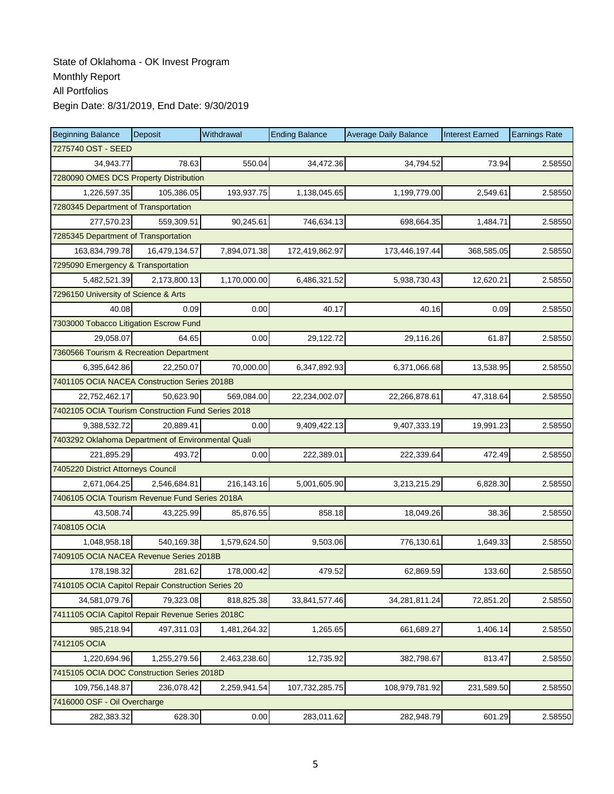| <b>Beginning Balance</b>                           | Deposit       | Withdrawal   | <b>Ending Balance</b> | <b>Average Daily Balance</b> | <b>Interest Earned</b> | <b>Earnings Rate</b> |
|----------------------------------------------------|---------------|--------------|-----------------------|------------------------------|------------------------|----------------------|
| 7275740 OST - SEED                                 |               |              |                       |                              |                        |                      |
| 34,943.77                                          | 78.63         | 550.04       | 34,472.36             | 34,794.52                    | 73.94                  | 2.58550              |
| 7280090 OMES DCS Property Distribution             |               |              |                       |                              |                        |                      |
| 1,226,597.35                                       | 105,386.05    | 193,937.75   | 1,138,045.65          | 1,199,779.00                 | 2,549.61               | 2.58550              |
| 7280345 Department of Transportation               |               |              |                       |                              |                        |                      |
| 277,570.23                                         | 559,309.51    | 90,245.61    | 746,634.13            | 698,664.35                   | 1,484.71               | 2.58550              |
| 7285345 Department of Transportation               |               |              |                       |                              |                        |                      |
| 163,834,799.78                                     | 16.479.134.57 | 7,894,071.38 | 172,419,862.97        | 173,446,197.44               | 368,585.05             | 2.58550              |
| 7295090 Emergency & Transportation                 |               |              |                       |                              |                        |                      |
| 5,482,521.39                                       | 2,173,800.13  | 1,170,000.00 | 6,486,321.52          | 5,938,730.43                 | 12,620.21              | 2.58550              |
| 7296150 University of Science & Arts               |               |              |                       |                              |                        |                      |
| 40.08                                              | 0.09          | 0.00         | 40.17                 | 40.16                        | 0.09                   | 2.58550              |
| 7303000 Tobacco Litigation Escrow Fund             |               |              |                       |                              |                        |                      |
| 29.058.07                                          | 64.65         | 0.00         | 29,122.72             | 29,116.26                    | 61.87                  | 2.58550              |
| 7360566 Tourism & Recreation Department            |               |              |                       |                              |                        |                      |
| 6,395,642.86                                       | 22,250.07     | 70,000.00    | 6,347,892.93          | 6,371,066.68                 | 13,538.95              | 2.58550              |
| 7401105 OCIA NACEA Construction Series 2018B       |               |              |                       |                              |                        |                      |
| 22,752,462.17                                      | 50,623.90     | 569,084.00   | 22,234,002.07         | 22,266,878.61                | 47,318.64              | 2.58550              |
| 7402105 OCIA Tourism Construction Fund Series 2018 |               |              |                       |                              |                        |                      |
| 9,388,532.72                                       | 20,889.41     | 0.00         | 9,409,422.13          | 9,407,333.19                 | 19,991.23              | 2.58550              |
| 7403292 Oklahoma Department of Environmental Quali |               |              |                       |                              |                        |                      |
| 221,895.29                                         | 493.72        | 0.00         | 222,389.01            | 222,339.64                   | 472.49                 | 2.58550              |
| 7405220 District Attorneys Council                 |               |              |                       |                              |                        |                      |
| 2,671,064.25                                       | 2,546,684.81  | 216,143.16   | 5,001,605.90          | 3,213,215.29                 | 6,828.30               | 2.58550              |
| 7406105 OCIA Tourism Revenue Fund Series 2018A     |               |              |                       |                              |                        |                      |
| 43,508.74                                          | 43,225.99     | 85,876.55    | 858.18                | 18,049.26                    | 38.36                  | 2.58550              |
| 7408105 OCIA                                       |               |              |                       |                              |                        |                      |
| 1,048,958.18                                       | 540,169.38    | 1,579,624.50 | 9,503.06              | 776,130.61                   | 1,649.33               | 2.58550              |
| 7409105 OCIA NACEA Revenue Series 2018B            |               |              |                       |                              |                        |                      |
| 178,198.32                                         | 281.62        | 178,000.42   | 479.52                | 62,869.59                    | 133.60                 | 2.58550              |
| 7410105 OCIA Capitol Repair Construction Series 20 |               |              |                       |                              |                        |                      |
| 34,581,079.76                                      | 79,323.08     | 818,825.38   | 33,841,577.46         | 34,281,811.24                | 72,851.20              | 2.58550              |
| 7411105 OCIA Capitol Repair Revenue Series 2018C   |               |              |                       |                              |                        |                      |
| 985,218.94                                         | 497,311.03    | 1,481,264.32 | 1,265.65              | 661,689.27                   | 1,406.14               | 2.58550              |
| 7412105 OCIA                                       |               |              |                       |                              |                        |                      |
| 1,220,694.96                                       | 1,255,279.56  | 2,463,238.60 | 12,735.92             | 382,798.67                   | 813.47                 | 2.58550              |
| 7415105 OCIA DOC Construction Series 2018D         |               |              |                       |                              |                        |                      |
| 109,756,148.87                                     | 236,078.42    | 2,259,941.54 | 107,732,285.75        | 108,979,781.92               | 231,589.50             | 2.58550              |
| 7416000 OSF - Oil Overcharge                       |               |              |                       |                              |                        |                      |
| 282,383.32                                         | 628.30        | 0.00         | 283,011.62            | 282,948.79                   | 601.29                 | 2.58550              |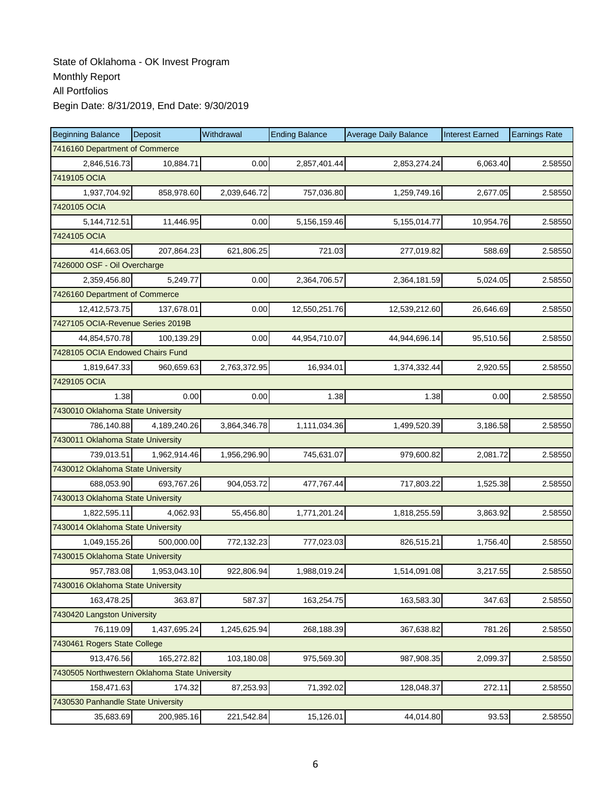| <b>Beginning Balance</b>                       | Deposit      | Withdrawal   | <b>Ending Balance</b> | <b>Average Daily Balance</b> | <b>Interest Earned</b> | <b>Earnings Rate</b> |
|------------------------------------------------|--------------|--------------|-----------------------|------------------------------|------------------------|----------------------|
| 7416160 Department of Commerce                 |              |              |                       |                              |                        |                      |
| 2,846,516.73                                   | 10,884.71    | 0.00         | 2,857,401.44          | 2,853,274.24                 | 6,063.40               | 2.58550              |
| 7419105 OCIA                                   |              |              |                       |                              |                        |                      |
| 1,937,704.92                                   | 858,978.60   | 2,039,646.72 | 757,036.80            | 1,259,749.16                 | 2,677.05               | 2.58550              |
| 7420105 OCIA                                   |              |              |                       |                              |                        |                      |
| 5, 144, 712. 51                                | 11,446.95    | 0.00         | 5,156,159.46          | 5,155,014.77                 | 10,954.76              | 2.58550              |
| 7424105 OCIA                                   |              |              |                       |                              |                        |                      |
| 414,663.05                                     | 207,864.23   | 621,806.25   | 721.03                | 277,019.82                   | 588.69                 | 2.58550              |
| 7426000 OSF - Oil Overcharge                   |              |              |                       |                              |                        |                      |
| 2,359,456.80                                   | 5,249.77     | 0.00         | 2,364,706.57          | 2,364,181.59                 | 5,024.05               | 2.58550              |
| 7426160 Department of Commerce                 |              |              |                       |                              |                        |                      |
| 12,412,573.75                                  | 137,678.01   | 0.00         | 12,550,251.76         | 12,539,212.60                | 26,646.69              | 2.58550              |
| 7427105 OCIA-Revenue Series 2019B              |              |              |                       |                              |                        |                      |
| 44,854,570.78                                  | 100,139.29   | 0.00         | 44,954,710.07         | 44,944,696.14                | 95,510.56              | 2.58550              |
| 7428105 OCIA Endowed Chairs Fund               |              |              |                       |                              |                        |                      |
| 1,819,647.33                                   | 960,659.63   | 2,763,372.95 | 16,934.01             | 1,374,332.44                 | 2,920.55               | 2.58550              |
| 7429105 OCIA                                   |              |              |                       |                              |                        |                      |
| 1.38                                           | 0.00         | 0.00         | 1.38                  | 1.38                         | 0.00                   | 2.58550              |
| 7430010 Oklahoma State University              |              |              |                       |                              |                        |                      |
| 786,140.88                                     | 4,189,240.26 | 3,864,346.78 | 1,111,034.36          | 1,499,520.39                 | 3,186.58               | 2.58550              |
| 7430011 Oklahoma State University              |              |              |                       |                              |                        |                      |
| 739,013.51                                     | 1,962,914.46 | 1,956,296.90 | 745,631.07            | 979,600.82                   | 2,081.72               | 2.58550              |
| 7430012 Oklahoma State University              |              |              |                       |                              |                        |                      |
| 688,053.90                                     | 693,767.26   | 904,053.72   | 477,767.44            | 717,803.22                   | 1,525.38               | 2.58550              |
| 7430013 Oklahoma State University              |              |              |                       |                              |                        |                      |
| 1,822,595.11                                   | 4,062.93     | 55,456.80    | 1,771,201.24          | 1,818,255.59                 | 3,863.92               | 2.58550              |
| 7430014 Oklahoma State University              |              |              |                       |                              |                        |                      |
| 1,049,155.26                                   | 500,000.00   | 772,132.23   | 777,023.03            | 826,515.21                   | 1,756.40               | 2.58550              |
| 7430015 Oklahoma State University              |              |              |                       |                              |                        |                      |
| 957,783.08                                     | 1,953,043.10 | 922,806.94   | 1,988,019.24          | 1,514,091.08                 | 3,217.55               | 2.58550              |
| 7430016 Oklahoma State University              |              |              |                       |                              |                        |                      |
| 163,478.25                                     | 363.87       | 587.37       | 163,254.75            | 163,583.30                   | 347.63                 | 2.58550              |
| 7430420 Langston University                    |              |              |                       |                              |                        |                      |
| 76,119.09                                      | 1,437,695.24 | 1,245,625.94 | 268,188.39            | 367,638.82                   | 781.26                 | 2.58550              |
| 7430461 Rogers State College                   |              |              |                       |                              |                        |                      |
| 913,476.56                                     | 165,272.82   | 103,180.08   | 975,569.30            | 987,908.35                   | 2,099.37               | 2.58550              |
| 7430505 Northwestern Oklahoma State University |              |              |                       |                              |                        |                      |
| 158,471.63                                     | 174.32       | 87,253.93    | 71,392.02             | 128,048.37                   | 272.11                 | 2.58550              |
| 7430530 Panhandle State University             |              |              |                       |                              |                        |                      |
| 35,683.69                                      | 200,985.16   | 221,542.84   | 15,126.01             | 44,014.80                    | 93.53                  | 2.58550              |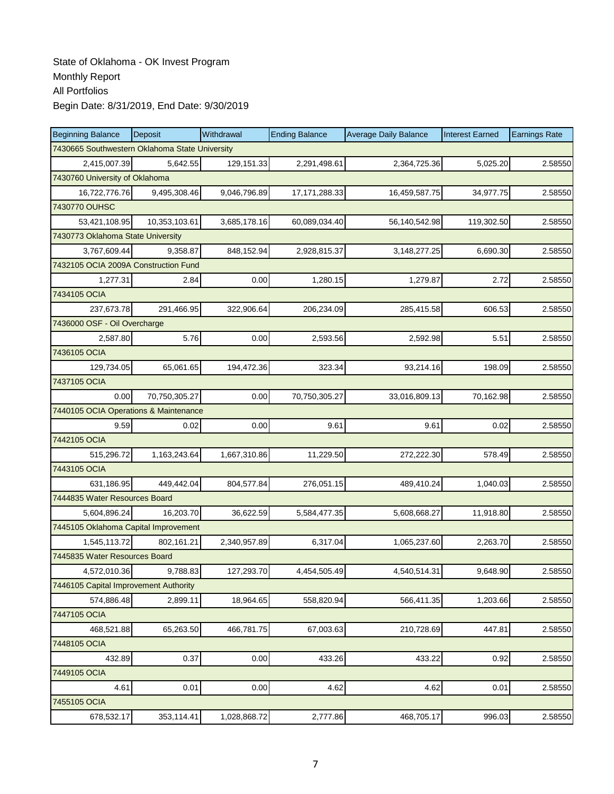| <b>Beginning Balance</b>                       | Deposit       | Withdrawal   | <b>Ending Balance</b> | <b>Average Daily Balance</b> | <b>Interest Earned</b> | <b>Earnings Rate</b> |
|------------------------------------------------|---------------|--------------|-----------------------|------------------------------|------------------------|----------------------|
| 7430665 Southwestern Oklahoma State University |               |              |                       |                              |                        |                      |
| 2,415,007.39                                   | 5,642.55      | 129,151.33   | 2,291,498.61          | 2,364,725.36                 | 5,025.20               | 2.58550              |
| 7430760 University of Oklahoma                 |               |              |                       |                              |                        |                      |
| 16,722,776.76                                  | 9,495,308.46  | 9,046,796.89 | 17, 171, 288. 33      | 16,459,587.75                | 34,977.75              | 2.58550              |
| 7430770 OUHSC                                  |               |              |                       |                              |                        |                      |
| 53,421,108.95                                  | 10,353,103.61 | 3,685,178.16 | 60,089,034.40         | 56,140,542.98                | 119,302.50             | 2.58550              |
| 7430773 Oklahoma State University              |               |              |                       |                              |                        |                      |
| 3,767,609.44                                   | 9,358.87      | 848,152.94   | 2,928,815.37          | 3,148,277.25                 | 6,690.30               | 2.58550              |
| 7432105 OCIA 2009A Construction Fund           |               |              |                       |                              |                        |                      |
| 1,277.31                                       | 2.84          | 0.00         | 1,280.15              | 1,279.87                     | 2.72                   | 2.58550              |
| 7434105 OCIA                                   |               |              |                       |                              |                        |                      |
| 237,673.78                                     | 291,466.95    | 322,906.64   | 206,234.09            | 285,415.58                   | 606.53                 | 2.58550              |
| 7436000 OSF - Oil Overcharge                   |               |              |                       |                              |                        |                      |
| 2,587.80                                       | 5.76          | 0.00         | 2,593.56              | 2,592.98                     | 5.51                   | 2.58550              |
| 7436105 OCIA                                   |               |              |                       |                              |                        |                      |
| 129,734.05                                     | 65,061.65     | 194,472.36   | 323.34                | 93,214.16                    | 198.09                 | 2.58550              |
| 7437105 OCIA                                   |               |              |                       |                              |                        |                      |
| 0.00                                           | 70,750,305.27 | 0.00         | 70,750,305.27         | 33,016,809.13                | 70,162.98              | 2.58550              |
| 7440105 OCIA Operations & Maintenance          |               |              |                       |                              |                        |                      |
| 9.59                                           | 0.02          | 0.00         | 9.61                  | 9.61                         | 0.02                   | 2.58550              |
| 7442105 OCIA                                   |               |              |                       |                              |                        |                      |
| 515,296.72                                     | 1,163,243.64  | 1,667,310.86 | 11,229.50             | 272,222.30                   | 578.49                 | 2.58550              |
| 7443105 OCIA                                   |               |              |                       |                              |                        |                      |
| 631,186.95                                     | 449,442.04    | 804,577.84   | 276,051.15            | 489,410.24                   | 1,040.03               | 2.58550              |
| 7444835 Water Resources Board                  |               |              |                       |                              |                        |                      |
| 5,604,896.24                                   | 16,203.70     | 36,622.59    | 5,584,477.35          | 5,608,668.27                 | 11,918.80              | 2.58550              |
| 7445105 Oklahoma Capital Improvement           |               |              |                       |                              |                        |                      |
| 1,545,113.72                                   | 802,161.21    | 2,340,957.89 | 6,317.04              | 1,065,237.60                 | 2,263.70               | 2.58550              |
| 7445835 Water Resources Board                  |               |              |                       |                              |                        |                      |
| 4,572,010.36                                   | 9,788.83      | 127,293.70   | 4,454,505.49          | 4,540,514.31                 | 9,648.90               | 2.58550              |
| 7446105 Capital Improvement Authority          |               |              |                       |                              |                        |                      |
| 574,886.48                                     | 2,899.11      | 18,964.65    | 558,820.94            | 566,411.35                   | 1,203.66               | 2.58550              |
| 7447105 OCIA                                   |               |              |                       |                              |                        |                      |
| 468,521.88                                     | 65,263.50     | 466,781.75   | 67,003.63             | 210,728.69                   | 447.81                 | 2.58550              |
| 7448105 OCIA                                   |               |              |                       |                              |                        |                      |
| 432.89                                         | 0.37          | 0.00         | 433.26                | 433.22                       | 0.92                   | 2.58550              |
| 7449105 OCIA                                   |               |              |                       |                              |                        |                      |
| 4.61                                           | 0.01          | 0.00         | 4.62                  | 4.62                         | 0.01                   | 2.58550              |
| 7455105 OCIA                                   |               |              |                       |                              |                        |                      |
| 678,532.17                                     | 353,114.41    | 1,028,868.72 | 2,777.86              | 468,705.17                   | 996.03                 | 2.58550              |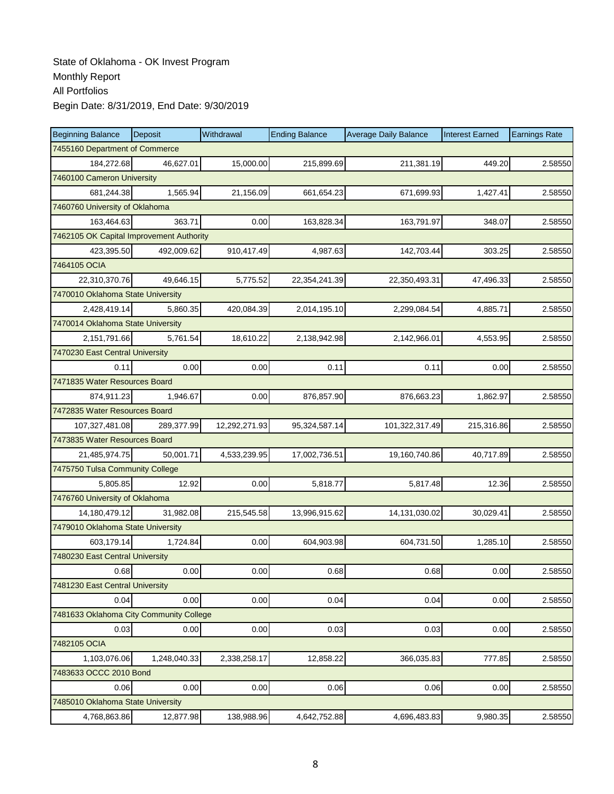| <b>Beginning Balance</b>                 | <b>Deposit</b>                 | Withdrawal    | <b>Ending Balance</b> | <b>Average Daily Balance</b> | <b>Interest Earned</b> | <b>Earnings Rate</b> |  |  |  |  |
|------------------------------------------|--------------------------------|---------------|-----------------------|------------------------------|------------------------|----------------------|--|--|--|--|
| 7455160 Department of Commerce           |                                |               |                       |                              |                        |                      |  |  |  |  |
| 184,272.68                               | 46,627.01                      | 15,000.00     | 215,899.69            | 211,381.19                   | 449.20                 | 2.58550              |  |  |  |  |
| 7460100 Cameron University               |                                |               |                       |                              |                        |                      |  |  |  |  |
| 681,244.38                               | 1,565.94                       | 21,156.09     | 661,654.23            | 671,699.93                   | 1,427.41               | 2.58550              |  |  |  |  |
|                                          | 7460760 University of Oklahoma |               |                       |                              |                        |                      |  |  |  |  |
| 163,464.63                               | 363.71                         | 0.00          | 163,828.34            | 163,791.97                   | 348.07                 | 2.58550              |  |  |  |  |
| 7462105 OK Capital Improvement Authority |                                |               |                       |                              |                        |                      |  |  |  |  |
| 423,395.50                               | 492.009.62                     | 910,417.49    | 4,987.63              | 142,703.44                   | 303.25                 | 2.58550              |  |  |  |  |
| 7464105 OCIA                             |                                |               |                       |                              |                        |                      |  |  |  |  |
| 22,310,370.76                            | 49,646.15                      | 5,775.52      | 22,354,241.39         | 22,350,493.31                | 47,496.33              | 2.58550              |  |  |  |  |
| 7470010 Oklahoma State University        |                                |               |                       |                              |                        |                      |  |  |  |  |
| 2,428,419.14                             | 5,860.35                       | 420,084.39    | 2,014,195.10          | 2,299,084.54                 | 4,885.71               | 2.58550              |  |  |  |  |
| 7470014 Oklahoma State University        |                                |               |                       |                              |                        |                      |  |  |  |  |
| 2,151,791.66                             | 5,761.54                       | 18,610.22     | 2,138,942.98          | 2,142,966.01                 | 4,553.95               | 2.58550              |  |  |  |  |
| 7470230 East Central University          |                                |               |                       |                              |                        |                      |  |  |  |  |
| 0.11                                     | 0.00                           | 0.00          | 0.11                  | 0.11                         | 0.00                   | 2.58550              |  |  |  |  |
| 7471835 Water Resources Board            |                                |               |                       |                              |                        |                      |  |  |  |  |
| 874,911.23                               | 1,946.67                       | 0.00          | 876,857.90            | 876,663.23                   | 1,862.97               | 2.58550              |  |  |  |  |
| 7472835 Water Resources Board            |                                |               |                       |                              |                        |                      |  |  |  |  |
| 107,327,481.08                           | 289,377.99                     | 12,292,271.93 | 95,324,587.14         | 101,322,317.49               | 215,316.86             | 2.58550              |  |  |  |  |
| 7473835 Water Resources Board            |                                |               |                       |                              |                        |                      |  |  |  |  |
| 21,485,974.75                            | 50,001.71                      | 4,533,239.95  | 17,002,736.51         | 19,160,740.86                | 40,717.89              | 2.58550              |  |  |  |  |
| 7475750 Tulsa Community College          |                                |               |                       |                              |                        |                      |  |  |  |  |
| 5,805.85                                 | 12.92                          | 0.00          | 5,818.77              | 5,817.48                     | 12.36                  | 2.58550              |  |  |  |  |
| 7476760 University of Oklahoma           |                                |               |                       |                              |                        |                      |  |  |  |  |
| 14,180,479.12                            | 31,982.08                      | 215,545.58    | 13,996,915.62         | 14,131,030.02                | 30,029.41              | 2.58550              |  |  |  |  |
| 7479010 Oklahoma State University        |                                |               |                       |                              |                        |                      |  |  |  |  |
| 603,179.14                               | 1,724.84                       | 0.00          | 604,903.98            | 604,731.50                   | 1,285.10               | 2.58550              |  |  |  |  |
| 7480230 East Central University          |                                |               |                       |                              |                        |                      |  |  |  |  |
| 0.68                                     | 0.00                           | 0.00          | 0.68                  | 0.68                         | 0.00                   | 2.58550              |  |  |  |  |
| 7481230 East Central University          |                                |               |                       |                              |                        |                      |  |  |  |  |
| 0.04                                     | 0.00                           | 0.00          | 0.04                  | 0.04                         | 0.00                   | 2.58550              |  |  |  |  |
| 7481633 Oklahoma City Community College  |                                |               |                       |                              |                        |                      |  |  |  |  |
| 0.03                                     | 0.00                           | 0.00          | 0.03                  | 0.03                         | 0.00                   | 2.58550              |  |  |  |  |
| 7482105 OCIA                             |                                |               |                       |                              |                        |                      |  |  |  |  |
| 1,103,076.06                             | 1,248,040.33                   | 2,338,258.17  | 12,858.22             | 366,035.83                   | 777.85                 | 2.58550              |  |  |  |  |
| 7483633 OCCC 2010 Bond                   |                                |               |                       |                              |                        |                      |  |  |  |  |
| 0.06                                     | 0.00                           | 0.00          | 0.06                  | 0.06                         | 0.00                   | 2.58550              |  |  |  |  |
| 7485010 Oklahoma State University        |                                |               |                       |                              |                        |                      |  |  |  |  |
| 4,768,863.86                             | 12,877.98                      | 138,988.96    | 4,642,752.88          | 4,696,483.83                 | 9,980.35               | 2.58550              |  |  |  |  |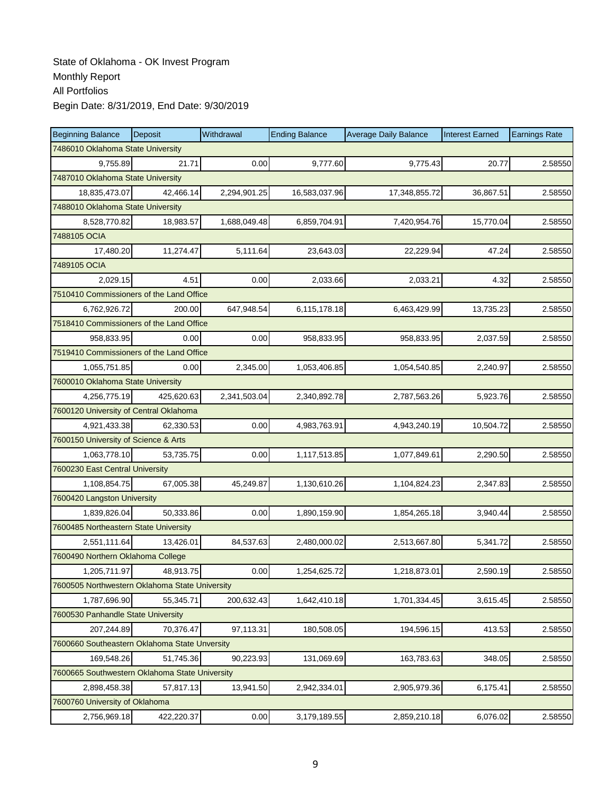| <b>Beginning Balance</b>                       | <b>Deposit</b>                    | Withdrawal   | <b>Ending Balance</b> | <b>Average Daily Balance</b> | <b>Interest Earned</b> | <b>Earnings Rate</b> |  |  |  |  |
|------------------------------------------------|-----------------------------------|--------------|-----------------------|------------------------------|------------------------|----------------------|--|--|--|--|
| 7486010 Oklahoma State University              |                                   |              |                       |                              |                        |                      |  |  |  |  |
| 9,755.89                                       | 21.71                             | 0.00         | 9.777.60              | 9.775.43                     | 20.77                  | 2.58550              |  |  |  |  |
| 7487010 Oklahoma State University              |                                   |              |                       |                              |                        |                      |  |  |  |  |
| 18,835,473.07                                  | 42,466.14                         | 2,294,901.25 | 16,583,037.96         | 17,348,855.72                | 36,867.51              | 2.58550              |  |  |  |  |
|                                                | 7488010 Oklahoma State University |              |                       |                              |                        |                      |  |  |  |  |
| 8,528,770.82                                   | 18,983.57                         | 1,688,049.48 | 6,859,704.91          | 7,420,954.76                 | 15,770.04              | 2.58550              |  |  |  |  |
| 7488105 OCIA                                   |                                   |              |                       |                              |                        |                      |  |  |  |  |
| 17,480.20                                      | 11,274.47                         | 5,111.64     | 23,643.03             | 22,229.94                    | 47.24                  | 2.58550              |  |  |  |  |
| 7489105 OCIA                                   |                                   |              |                       |                              |                        |                      |  |  |  |  |
| 2,029.15                                       | 4.51                              | 0.00         | 2,033.66              | 2,033.21                     | 4.32                   | 2.58550              |  |  |  |  |
| 7510410 Commissioners of the Land Office       |                                   |              |                       |                              |                        |                      |  |  |  |  |
| 6,762,926.72                                   | 200.00                            | 647,948.54   | 6,115,178.18          | 6,463,429.99                 | 13,735.23              | 2.58550              |  |  |  |  |
| 7518410 Commissioners of the Land Office       |                                   |              |                       |                              |                        |                      |  |  |  |  |
| 958.833.95                                     | 0.00                              | 0.00         | 958,833.95            | 958,833.95                   | 2,037.59               | 2.58550              |  |  |  |  |
| 7519410 Commissioners of the Land Office       |                                   |              |                       |                              |                        |                      |  |  |  |  |
| 1,055,751.85                                   | 0.00                              | 2,345.00     | 1,053,406.85          | 1,054,540.85                 | 2,240.97               | 2.58550              |  |  |  |  |
| 7600010 Oklahoma State University              |                                   |              |                       |                              |                        |                      |  |  |  |  |
| 4,256,775.19                                   | 425,620.63                        | 2,341,503.04 | 2,340,892.78          | 2,787,563.26                 | 5,923.76               | 2.58550              |  |  |  |  |
| 7600120 University of Central Oklahoma         |                                   |              |                       |                              |                        |                      |  |  |  |  |
| 4,921,433.38                                   | 62,330.53                         | 0.00         | 4,983,763.91          | 4,943,240.19                 | 10,504.72              | 2.58550              |  |  |  |  |
| 7600150 University of Science & Arts           |                                   |              |                       |                              |                        |                      |  |  |  |  |
| 1,063,778.10                                   | 53,735.75                         | 0.00         | 1,117,513.85          | 1,077,849.61                 | 2,290.50               | 2.58550              |  |  |  |  |
| 7600230 East Central University                |                                   |              |                       |                              |                        |                      |  |  |  |  |
| 1,108,854.75                                   | 67,005.38                         | 45,249.87    | 1,130,610.26          | 1,104,824.23                 | 2,347.83               | 2.58550              |  |  |  |  |
| 7600420 Langston University                    |                                   |              |                       |                              |                        |                      |  |  |  |  |
| 1,839,826.04                                   | 50,333.86                         | 0.00         | 1,890,159.90          | 1,854,265.18                 | 3,940.44               | 2.58550              |  |  |  |  |
| 7600485 Northeastern State University          |                                   |              |                       |                              |                        |                      |  |  |  |  |
| 2,551,111.64                                   | 13,426.01                         | 84,537.63    | 2,480,000.02          | 2,513,667.80                 | 5,341.72               | 2.58550              |  |  |  |  |
| 7600490 Northern Oklahoma College              |                                   |              |                       |                              |                        |                      |  |  |  |  |
| 1,205,711.97                                   | 48,913.75                         | 0.00         | 1,254,625.72          | 1,218,873.01                 | 2,590.19               | 2.58550              |  |  |  |  |
| 7600505 Northwestern Oklahoma State University |                                   |              |                       |                              |                        |                      |  |  |  |  |
| 1,787,696.90                                   | 55,345.71                         | 200,632.43   | 1,642,410.18          | 1,701,334.45                 | 3,615.45               | 2.58550              |  |  |  |  |
| 7600530 Panhandle State University             |                                   |              |                       |                              |                        |                      |  |  |  |  |
| 207,244.89                                     | 70,376.47                         | 97,113.31    | 180,508.05            | 194,596.15                   | 413.53                 | 2.58550              |  |  |  |  |
| 7600660 Southeastern Oklahoma State Unversity  |                                   |              |                       |                              |                        |                      |  |  |  |  |
| 169,548.26                                     | 51,745.36                         | 90,223.93    | 131,069.69            | 163,783.63                   | 348.05                 | 2.58550              |  |  |  |  |
| 7600665 Southwestern Oklahoma State University |                                   |              |                       |                              |                        |                      |  |  |  |  |
| 2,898,458.38                                   | 57,817.13                         | 13,941.50    | 2,942,334.01          | 2,905,979.36                 | 6,175.41               | 2.58550              |  |  |  |  |
| 7600760 University of Oklahoma                 |                                   |              |                       |                              |                        |                      |  |  |  |  |
| 2,756,969.18                                   | 422,220.37                        | 0.00         | 3,179,189.55          | 2,859,210.18                 | 6,076.02               | 2.58550              |  |  |  |  |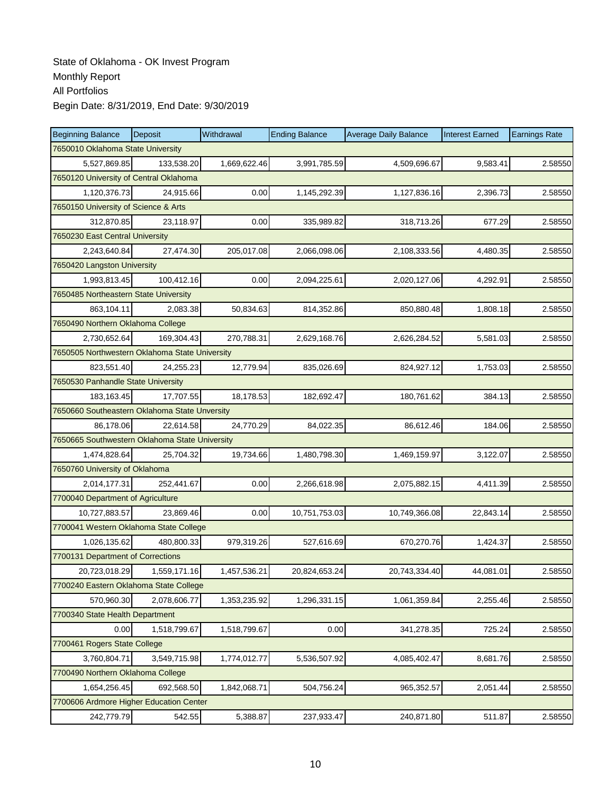| <b>Beginning Balance</b>                       | <b>Deposit</b> | Withdrawal   | <b>Ending Balance</b> | <b>Average Daily Balance</b> | <b>Interest Earned</b> | <b>Earnings Rate</b> |
|------------------------------------------------|----------------|--------------|-----------------------|------------------------------|------------------------|----------------------|
| 7650010 Oklahoma State University              |                |              |                       |                              |                        |                      |
| 5,527,869.85                                   | 133,538.20     | 1,669,622.46 | 3,991,785.59          | 4,509,696.67                 | 9,583.41               | 2.58550              |
| 7650120 University of Central Oklahoma         |                |              |                       |                              |                        |                      |
| 1,120,376.73                                   | 24,915.66      | 0.00         | 1,145,292.39          | 1,127,836.16                 | 2,396.73               | 2.58550              |
| 7650150 University of Science & Arts           |                |              |                       |                              |                        |                      |
| 312,870.85                                     | 23,118.97      | 0.00         | 335,989.82            | 318,713.26                   | 677.29                 | 2.58550              |
| 7650230 East Central University                |                |              |                       |                              |                        |                      |
| 2,243,640.84                                   | 27,474.30      | 205,017.08   | 2,066,098.06          | 2,108,333.56                 | 4,480.35               | 2.58550              |
| 7650420 Langston University                    |                |              |                       |                              |                        |                      |
| 1,993,813.45                                   | 100,412.16     | 0.00         | 2,094,225.61          | 2,020,127.06                 | 4,292.91               | 2.58550              |
| 7650485 Northeastern State University          |                |              |                       |                              |                        |                      |
| 863,104.11                                     | 2,083.38       | 50,834.63    | 814,352.86            | 850,880.48                   | 1,808.18               | 2.58550              |
| 7650490 Northern Oklahoma College              |                |              |                       |                              |                        |                      |
| 2,730,652.64                                   | 169.304.43     | 270,788.31   | 2,629,168.76          | 2,626,284.52                 | 5,581.03               | 2.58550              |
| 7650505 Northwestern Oklahoma State University |                |              |                       |                              |                        |                      |
| 823,551.40                                     | 24,255.23      | 12,779.94    | 835,026.69            | 824,927.12                   | 1,753.03               | 2.58550              |
| 7650530 Panhandle State University             |                |              |                       |                              |                        |                      |
| 183, 163. 45                                   | 17,707.55      | 18,178.53    | 182,692.47            | 180,761.62                   | 384.13                 | 2.58550              |
| 7650660 Southeastern Oklahoma State Unversity  |                |              |                       |                              |                        |                      |
| 86,178.06                                      | 22,614.58      | 24,770.29    | 84,022.35             | 86,612.46                    | 184.06                 | 2.58550              |
| 7650665 Southwestern Oklahoma State University |                |              |                       |                              |                        |                      |
| 1,474,828.64                                   | 25,704.32      | 19,734.66    | 1,480,798.30          | 1,469,159.97                 | 3,122.07               | 2.58550              |
| 7650760 University of Oklahoma                 |                |              |                       |                              |                        |                      |
| 2,014,177.31                                   | 252,441.67     | 0.00         | 2,266,618.98          | 2,075,882.15                 | 4,411.39               | 2.58550              |
| 7700040 Department of Agriculture              |                |              |                       |                              |                        |                      |
| 10,727,883.57                                  | 23,869.46      | 0.00         | 10,751,753.03         | 10,749,366.08                | 22,843.14              | 2.58550              |
| 7700041 Western Oklahoma State College         |                |              |                       |                              |                        |                      |
| 1.026.135.62                                   | 480,800.33     | 979,319.26   | 527,616.69            | 670,270.76                   | 1,424.37               | 2.58550              |
| 7700131 Department of Corrections              |                |              |                       |                              |                        |                      |
| 20,723,018.29                                  | 1,559,171.16   | 1,457,536.21 | 20,824,653.24         | 20,743,334.40                | 44,081.01              | 2.58550              |
| 7700240 Eastern Oklahoma State College         |                |              |                       |                              |                        |                      |
| 570,960.30                                     | 2,078,606.77   | 1,353,235.92 | 1,296,331.15          | 1,061,359.84                 | 2,255.46               | 2.58550              |
| 7700340 State Health Department                |                |              |                       |                              |                        |                      |
| 0.00                                           | 1,518,799.67   | 1,518,799.67 | 0.00                  | 341,278.35                   | 725.24                 | 2.58550              |
| 7700461 Rogers State College                   |                |              |                       |                              |                        |                      |
| 3,760,804.71                                   | 3,549,715.98   | 1,774,012.77 | 5,536,507.92          | 4,085,402.47                 | 8,681.76               | 2.58550              |
| 7700490 Northern Oklahoma College              |                |              |                       |                              |                        |                      |
| 1,654,256.45                                   | 692,568.50     | 1,842,068.71 | 504,756.24            | 965,352.57                   | 2,051.44               | 2.58550              |
| 7700606 Ardmore Higher Education Center        |                |              |                       |                              |                        |                      |
| 242,779.79                                     | 542.55         | 5,388.87     | 237,933.47            | 240,871.80                   | 511.87                 | 2.58550              |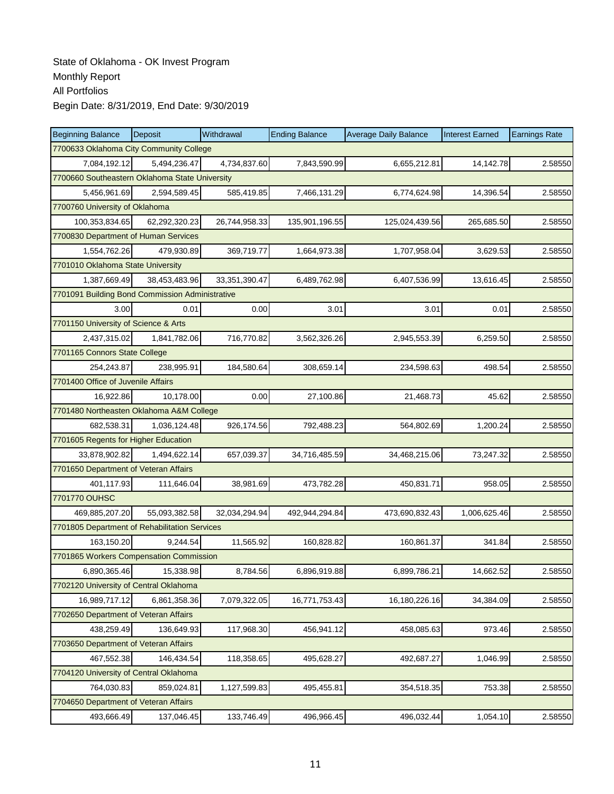| <b>Beginning Balance</b>                        | Deposit       | Withdrawal    | <b>Ending Balance</b> | <b>Average Daily Balance</b> | <b>Interest Earned</b> | <b>Earnings Rate</b> |  |  |  |
|-------------------------------------------------|---------------|---------------|-----------------------|------------------------------|------------------------|----------------------|--|--|--|
| 7700633 Oklahoma City Community College         |               |               |                       |                              |                        |                      |  |  |  |
| 7,084,192.12                                    | 5,494,236.47  | 4,734,837.60  | 7,843,590.99          | 6,655,212.81                 | 14,142.78              | 2.58550              |  |  |  |
| 7700660 Southeastern Oklahoma State University  |               |               |                       |                              |                        |                      |  |  |  |
| 5,456,961.69                                    | 2,594,589.45  | 585,419.85    | 7,466,131.29          | 6,774,624.98                 | 14,396.54              | 2.58550              |  |  |  |
| 7700760 University of Oklahoma                  |               |               |                       |                              |                        |                      |  |  |  |
| 100,353,834.65                                  | 62,292,320.23 | 26,744,958.33 | 135,901,196.55        | 125,024,439.56               | 265,685.50             | 2.58550              |  |  |  |
| 7700830 Department of Human Services            |               |               |                       |                              |                        |                      |  |  |  |
| 1,554,762.26                                    | 479,930.89    | 369,719.77    | 1,664,973.38          | 1,707,958.04                 | 3,629.53               | 2.58550              |  |  |  |
| 7701010 Oklahoma State University               |               |               |                       |                              |                        |                      |  |  |  |
| 1,387,669.49                                    | 38,453,483.96 | 33,351,390.47 | 6,489,762.98          | 6,407,536.99                 | 13,616.45              | 2.58550              |  |  |  |
| 7701091 Building Bond Commission Administrative |               |               |                       |                              |                        |                      |  |  |  |
| 3.00                                            | 0.01          | 0.00          | 3.01                  | 3.01                         | 0.01                   | 2.58550              |  |  |  |
| 7701150 University of Science & Arts            |               |               |                       |                              |                        |                      |  |  |  |
| 2,437,315.02                                    | 1,841,782.06  | 716,770.82    | 3,562,326.26          | 2,945,553.39                 | 6,259.50               | 2.58550              |  |  |  |
| 7701165 Connors State College                   |               |               |                       |                              |                        |                      |  |  |  |
| 254,243.87                                      | 238,995.91    | 184,580.64    | 308,659.14            | 234,598.63                   | 498.54                 | 2.58550              |  |  |  |
| 7701400 Office of Juvenile Affairs              |               |               |                       |                              |                        |                      |  |  |  |
| 16,922.86                                       | 10,178.00     | 0.00          | 27,100.86             | 21,468.73                    | 45.62                  | 2.58550              |  |  |  |
| 7701480 Northeasten Oklahoma A&M College        |               |               |                       |                              |                        |                      |  |  |  |
| 682,538.31                                      | 1,036,124.48  | 926,174.56    | 792,488.23            | 564,802.69                   | 1,200.24               | 2.58550              |  |  |  |
| 7701605 Regents for Higher Education            |               |               |                       |                              |                        |                      |  |  |  |
| 33,878,902.82                                   | 1,494,622.14  | 657,039.37    | 34,716,485.59         | 34,468,215.06                | 73,247.32              | 2.58550              |  |  |  |
| 7701650 Department of Veteran Affairs           |               |               |                       |                              |                        |                      |  |  |  |
| 401,117.93                                      | 111,646.04    | 38,981.69     | 473,782.28            | 450,831.71                   | 958.05                 | 2.58550              |  |  |  |
| 7701770 OUHSC                                   |               |               |                       |                              |                        |                      |  |  |  |
| 469,885,207.20                                  | 55,093,382.58 | 32,034,294.94 | 492,944,294.84        | 473,690,832.43               | 1,006,625.46           | 2.58550              |  |  |  |
| 7701805 Department of Rehabilitation Services   |               |               |                       |                              |                        |                      |  |  |  |
| 163.150.20                                      | 9,244.54      | 11,565.92     | 160,828.82            | 160,861.37                   | 341.84                 | 2.58550              |  |  |  |
| 7701865 Workers Compensation Commission         |               |               |                       |                              |                        |                      |  |  |  |
| 6,890,365.46                                    | 15,338.98     | 8,784.56      | 6,896,919.88          | 6,899,786.21                 | 14,662.52              | 2.58550              |  |  |  |
| 7702120 University of Central Oklahoma          |               |               |                       |                              |                        |                      |  |  |  |
| 16,989,717.12                                   | 6,861,358.36  | 7,079,322.05  | 16,771,753.43         | 16,180,226.16                | 34,384.09              | 2.58550              |  |  |  |
| 7702650 Department of Veteran Affairs           |               |               |                       |                              |                        |                      |  |  |  |
| 438,259.49                                      | 136,649.93    | 117,968.30    | 456,941.12            | 458,085.63                   | 973.46                 | 2.58550              |  |  |  |
| 7703650 Department of Veteran Affairs           |               |               |                       |                              |                        |                      |  |  |  |
| 467,552.38                                      | 146,434.54    | 118,358.65    | 495,628.27            | 492,687.27                   | 1,046.99               | 2.58550              |  |  |  |
| 7704120 University of Central Oklahoma          |               |               |                       |                              |                        |                      |  |  |  |
| 764,030.83                                      | 859,024.81    | 1,127,599.83  | 495,455.81            | 354,518.35                   | 753.38                 | 2.58550              |  |  |  |
| 7704650 Department of Veteran Affairs           |               |               |                       |                              |                        |                      |  |  |  |
| 493,666.49                                      | 137,046.45    | 133,746.49    | 496,966.45            | 496,032.44                   | 1,054.10               | 2.58550              |  |  |  |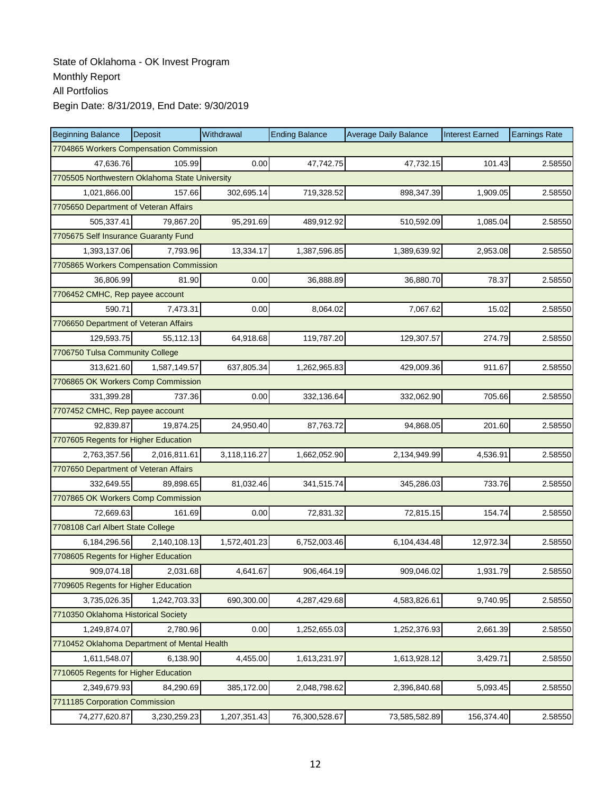| <b>Beginning Balance</b>                     | <b>Deposit</b>                                 | Withdrawal   | <b>Ending Balance</b> | <b>Average Daily Balance</b> | <b>Interest Earned</b> | <b>Earnings Rate</b> |  |  |  |
|----------------------------------------------|------------------------------------------------|--------------|-----------------------|------------------------------|------------------------|----------------------|--|--|--|
| 7704865 Workers Compensation Commission      |                                                |              |                       |                              |                        |                      |  |  |  |
| 47.636.76                                    | 105.99                                         | 0.00         | 47,742.75             | 47,732.15                    | 101.43                 | 2.58550              |  |  |  |
|                                              | 7705505 Northwestern Oklahoma State University |              |                       |                              |                        |                      |  |  |  |
| 1,021,866.00                                 | 157.66                                         | 302,695.14   | 719,328.52            | 898,347.39                   | 1,909.05               | 2.58550              |  |  |  |
| 7705650 Department of Veteran Affairs        |                                                |              |                       |                              |                        |                      |  |  |  |
| 505,337.41                                   | 79,867.20                                      | 95,291.69    | 489,912.92            | 510,592.09                   | 1,085.04               | 2.58550              |  |  |  |
| 7705675 Self Insurance Guaranty Fund         |                                                |              |                       |                              |                        |                      |  |  |  |
| 1,393,137.06                                 | 7.793.96                                       | 13,334.17    | 1,387,596.85          | 1,389,639.92                 | 2,953.08               | 2.58550              |  |  |  |
| 7705865 Workers Compensation Commission      |                                                |              |                       |                              |                        |                      |  |  |  |
| 36,806.99                                    | 81.90                                          | 0.00         | 36,888.89             | 36,880.70                    | 78.37                  | 2.58550              |  |  |  |
| 7706452 CMHC, Rep payee account              |                                                |              |                       |                              |                        |                      |  |  |  |
| 590.71                                       | 7,473.31                                       | 0.00         | 8,064.02              | 7,067.62                     | 15.02                  | 2.58550              |  |  |  |
| 7706650 Department of Veteran Affairs        |                                                |              |                       |                              |                        |                      |  |  |  |
| 129,593.75                                   | 55,112.13                                      | 64,918.68    | 119,787.20            | 129,307.57                   | 274.79                 | 2.58550              |  |  |  |
| 7706750 Tulsa Community College              |                                                |              |                       |                              |                        |                      |  |  |  |
| 313,621.60                                   | 1,587,149.57                                   | 637,805.34   | 1,262,965.83          | 429,009.36                   | 911.67                 | 2.58550              |  |  |  |
| 7706865 OK Workers Comp Commission           |                                                |              |                       |                              |                        |                      |  |  |  |
| 331,399.28                                   | 737.36                                         | 0.00         | 332,136.64            | 332,062.90                   | 705.66                 | 2.58550              |  |  |  |
| 7707452 CMHC, Rep payee account              |                                                |              |                       |                              |                        |                      |  |  |  |
| 92,839.87                                    | 19,874.25                                      | 24,950.40    | 87,763.72             | 94,868.05                    | 201.60                 | 2.58550              |  |  |  |
| 7707605 Regents for Higher Education         |                                                |              |                       |                              |                        |                      |  |  |  |
| 2,763,357.56                                 | 2,016,811.61                                   | 3,118,116.27 | 1,662,052.90          | 2,134,949.99                 | 4,536.91               | 2.58550              |  |  |  |
| 7707650 Department of Veteran Affairs        |                                                |              |                       |                              |                        |                      |  |  |  |
| 332,649.55                                   | 89.898.65                                      | 81,032.46    | 341,515.74            | 345,286.03                   | 733.76                 | 2.58550              |  |  |  |
| 7707865 OK Workers Comp Commission           |                                                |              |                       |                              |                        |                      |  |  |  |
| 72,669.63                                    | 161.69                                         | 0.00         | 72,831.32             | 72,815.15                    | 154.74                 | 2.58550              |  |  |  |
| 7708108 Carl Albert State College            |                                                |              |                       |                              |                        |                      |  |  |  |
| 6,184,296.56                                 | 2,140,108.13                                   | 1,572,401.23 | 6,752,003.46          | 6,104,434.48                 | 12,972.34              | 2.58550              |  |  |  |
| 7708605 Regents for Higher Education         |                                                |              |                       |                              |                        |                      |  |  |  |
| 909,074.18                                   | 2,031.68                                       | 4,641.67     | 906,464.19            | 909,046.02                   | 1,931.79               | 2.58550              |  |  |  |
| 7709605 Regents for Higher Education         |                                                |              |                       |                              |                        |                      |  |  |  |
| 3,735,026.35                                 | 1,242,703.33                                   | 690,300.00   | 4,287,429.68          | 4,583,826.61                 | 9,740.95               | 2.58550              |  |  |  |
| 7710350 Oklahoma Historical Society          |                                                |              |                       |                              |                        |                      |  |  |  |
| 1,249,874.07                                 | 2,780.96                                       | 0.00         | 1,252,655.03          | 1,252,376.93                 | 2,661.39               | 2.58550              |  |  |  |
| 7710452 Oklahoma Department of Mental Health |                                                |              |                       |                              |                        |                      |  |  |  |
| 1,611,548.07                                 | 6,138.90                                       | 4,455.00     | 1,613,231.97          | 1,613,928.12                 | 3,429.71               | 2.58550              |  |  |  |
| 7710605 Regents for Higher Education         |                                                |              |                       |                              |                        |                      |  |  |  |
| 2,349,679.93                                 | 84,290.69                                      | 385,172.00   | 2,048,798.62          | 2,396,840.68                 | 5,093.45               | 2.58550              |  |  |  |
| 7711185 Corporation Commission               |                                                |              |                       |                              |                        |                      |  |  |  |
| 74,277,620.87                                | 3,230,259.23                                   | 1,207,351.43 | 76,300,528.67         | 73,585,582.89                | 156,374.40             | 2.58550              |  |  |  |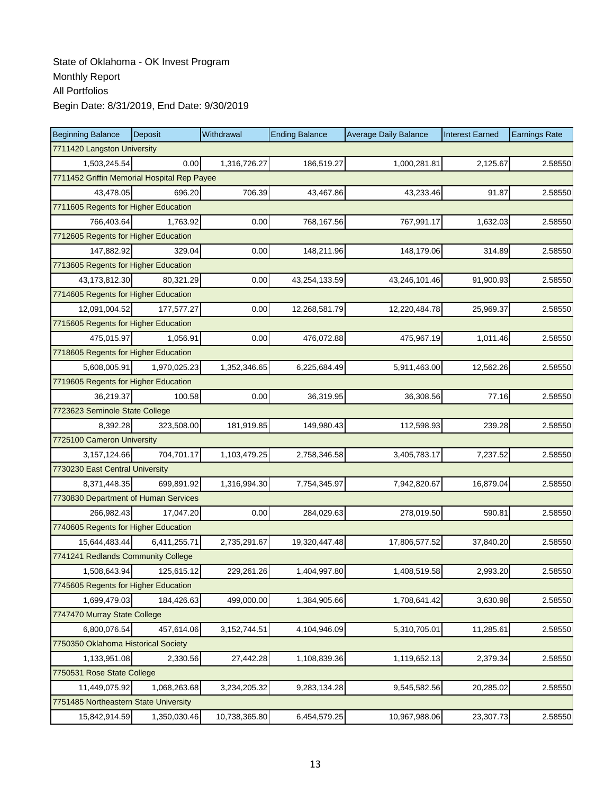| <b>Beginning Balance</b>                    | Deposit                              | Withdrawal     | <b>Ending Balance</b> | <b>Average Daily Balance</b> | <b>Interest Earned</b> | <b>Earnings Rate</b> |  |  |
|---------------------------------------------|--------------------------------------|----------------|-----------------------|------------------------------|------------------------|----------------------|--|--|
| 7711420 Langston University                 |                                      |                |                       |                              |                        |                      |  |  |
| 1,503,245.54                                | 0.00                                 | 1,316,726.27   | 186,519.27            | 1,000,281.81                 | 2,125.67               | 2.58550              |  |  |
| 7711452 Griffin Memorial Hospital Rep Payee |                                      |                |                       |                              |                        |                      |  |  |
| 43,478.05                                   | 696.20                               | 706.39         | 43,467.86             | 43,233.46                    | 91.87                  | 2.58550              |  |  |
| 7711605 Regents for Higher Education        |                                      |                |                       |                              |                        |                      |  |  |
| 766,403.64                                  | 1,763.92                             | 0.00           | 768,167.56            | 767,991.17                   | 1,632.03               | 2.58550              |  |  |
| 7712605 Regents for Higher Education        |                                      |                |                       |                              |                        |                      |  |  |
| 147,882.92                                  | 329.04                               | 0.00           | 148,211.96            | 148,179.06                   | 314.89                 | 2.58550              |  |  |
| 7713605 Regents for Higher Education        |                                      |                |                       |                              |                        |                      |  |  |
| 43,173,812.30                               | 80,321.29                            | 0.00           | 43,254,133.59         | 43,246,101.46                | 91,900.93              | 2.58550              |  |  |
| 7714605 Regents for Higher Education        |                                      |                |                       |                              |                        |                      |  |  |
| 12,091,004.52                               | 177,577.27                           | 0.00           | 12,268,581.79         | 12,220,484.78                | 25,969.37              | 2.58550              |  |  |
| 7715605 Regents for Higher Education        |                                      |                |                       |                              |                        |                      |  |  |
| 475,015.97                                  | 1,056.91                             | 0.00           | 476,072.88            | 475,967.19                   | 1,011.46               | 2.58550              |  |  |
|                                             | 7718605 Regents for Higher Education |                |                       |                              |                        |                      |  |  |
| 5,608,005.91                                | 1,970,025.23                         | 1,352,346.65   | 6,225,684.49          | 5,911,463.00                 | 12,562.26              | 2.58550              |  |  |
| 7719605 Regents for Higher Education        |                                      |                |                       |                              |                        |                      |  |  |
| 36,219.37                                   | 100.58                               | 0.00           | 36,319.95             | 36,308.56                    | 77.16                  | 2.58550              |  |  |
| 7723623 Seminole State College              |                                      |                |                       |                              |                        |                      |  |  |
| 8,392.28                                    | 323,508.00                           | 181,919.85     | 149,980.43            | 112,598.93                   | 239.28                 | 2.58550              |  |  |
| 7725100 Cameron University                  |                                      |                |                       |                              |                        |                      |  |  |
| 3, 157, 124.66                              | 704,701.17                           | 1,103,479.25   | 2,758,346.58          | 3,405,783.17                 | 7,237.52               | 2.58550              |  |  |
| 7730230 East Central University             |                                      |                |                       |                              |                        |                      |  |  |
| 8,371,448.35                                | 699,891.92                           | 1,316,994.30   | 7,754,345.97          | 7,942,820.67                 | 16,879.04              | 2.58550              |  |  |
| 7730830 Department of Human Services        |                                      |                |                       |                              |                        |                      |  |  |
| 266,982.43                                  | 17,047.20                            | 0.00           | 284,029.63            | 278,019.50                   | 590.81                 | 2.58550              |  |  |
| 7740605 Regents for Higher Education        |                                      |                |                       |                              |                        |                      |  |  |
| 15.644.483.44                               | 6,411,255.71                         | 2,735,291.67   | 19,320,447.48         | 17,806,577.52                | 37,840.20              | 2.58550              |  |  |
| 7741241 Redlands Community College          |                                      |                |                       |                              |                        |                      |  |  |
| 1,508,643.94                                | 125,615.12                           | 229,261.26     | 1,404,997.80          | 1,408,519.58                 | 2,993.20               | 2.58550              |  |  |
| 7745605 Regents for Higher Education        |                                      |                |                       |                              |                        |                      |  |  |
| 1,699,479.03                                | 184,426.63                           | 499,000.00     | 1,384,905.66          | 1,708,641.42                 | 3,630.98               | 2.58550              |  |  |
| 7747470 Murray State College                |                                      |                |                       |                              |                        |                      |  |  |
| 6,800,076.54                                | 457,614.06                           | 3, 152, 744.51 | 4,104,946.09          | 5,310,705.01                 | 11,285.61              | 2.58550              |  |  |
| 7750350 Oklahoma Historical Society         |                                      |                |                       |                              |                        |                      |  |  |
| 1,133,951.08                                | 2,330.56                             | 27,442.28      | 1,108,839.36          | 1,119,652.13                 | 2,379.34               | 2.58550              |  |  |
| 7750531 Rose State College                  |                                      |                |                       |                              |                        |                      |  |  |
| 11,449,075.92                               | 1,068,263.68                         | 3,234,205.32   | 9,283,134.28          | 9,545,582.56                 | 20,285.02              | 2.58550              |  |  |
| 7751485 Northeastern State University       |                                      |                |                       |                              |                        |                      |  |  |
| 15,842,914.59                               | 1,350,030.46                         | 10,738,365.80  | 6,454,579.25          | 10,967,988.06                | 23,307.73              | 2.58550              |  |  |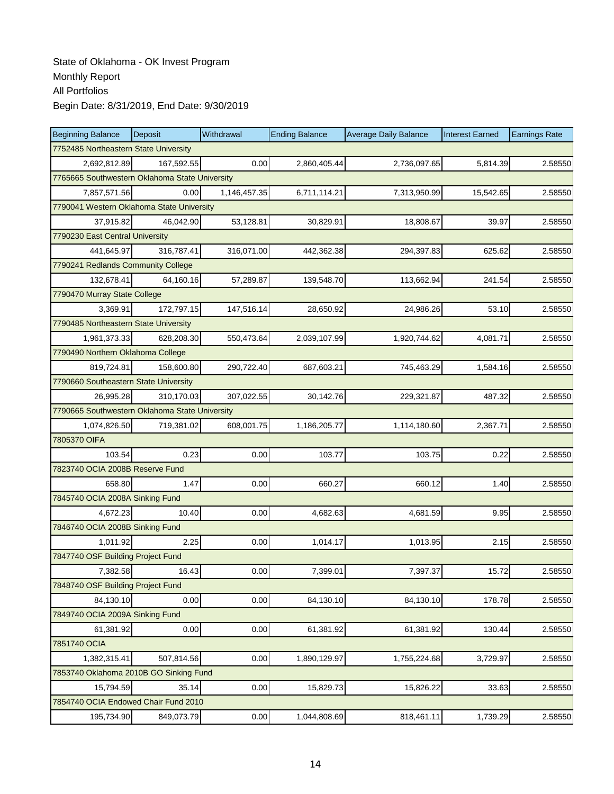| <b>Beginning Balance</b>                       | Deposit    | Withdrawal   | <b>Ending Balance</b> | <b>Average Daily Balance</b> | <b>Interest Earned</b> | <b>Earnings Rate</b> |  |  |
|------------------------------------------------|------------|--------------|-----------------------|------------------------------|------------------------|----------------------|--|--|
| 7752485 Northeastern State University          |            |              |                       |                              |                        |                      |  |  |
| 2,692,812.89                                   | 167,592.55 | 0.00         | 2,860,405.44          | 2,736,097.65                 | 5,814.39               | 2.58550              |  |  |
| 7765665 Southwestern Oklahoma State University |            |              |                       |                              |                        |                      |  |  |
| 7,857,571.56                                   | 0.00       | 1,146,457.35 | 6,711,114.21          | 7,313,950.99                 | 15,542.65              | 2.58550              |  |  |
| 7790041 Western Oklahoma State University      |            |              |                       |                              |                        |                      |  |  |
| 37,915.82                                      | 46,042.90  | 53,128.81    | 30,829.91             | 18,808.67                    | 39.97                  | 2.58550              |  |  |
| 7790230 East Central University                |            |              |                       |                              |                        |                      |  |  |
| 441.645.97                                     | 316,787.41 | 316,071.00   | 442,362.38            | 294,397.83                   | 625.62                 | 2.58550              |  |  |
| 7790241 Redlands Community College             |            |              |                       |                              |                        |                      |  |  |
| 132,678.41                                     | 64,160.16  | 57,289.87    | 139,548.70            | 113,662.94                   | 241.54                 | 2.58550              |  |  |
| 7790470 Murray State College                   |            |              |                       |                              |                        |                      |  |  |
| 3,369.91                                       | 172,797.15 | 147,516.14   | 28,650.92             | 24,986.26                    | 53.10                  | 2.58550              |  |  |
| 7790485 Northeastern State University          |            |              |                       |                              |                        |                      |  |  |
| 1,961,373.33                                   | 628,208.30 | 550,473.64   | 2,039,107.99          | 1,920,744.62                 | 4,081.71               | 2.58550              |  |  |
| 7790490 Northern Oklahoma College              |            |              |                       |                              |                        |                      |  |  |
| 819,724.81                                     | 158,600.80 | 290,722.40   | 687,603.21            | 745,463.29                   | 1,584.16               | 2.58550              |  |  |
| 7790660 Southeastern State University          |            |              |                       |                              |                        |                      |  |  |
| 26,995.28                                      | 310,170.03 | 307,022.55   | 30,142.76             | 229,321.87                   | 487.32                 | 2.58550              |  |  |
| 7790665 Southwestern Oklahoma State University |            |              |                       |                              |                        |                      |  |  |
| 1,074,826.50                                   | 719,381.02 | 608,001.75   | 1,186,205.77          | 1,114,180.60                 | 2,367.71               | 2.58550              |  |  |
| 7805370 OIFA                                   |            |              |                       |                              |                        |                      |  |  |
| 103.54                                         | 0.23       | 0.00         | 103.77                | 103.75                       | 0.22                   | 2.58550              |  |  |
| 7823740 OCIA 2008B Reserve Fund                |            |              |                       |                              |                        |                      |  |  |
| 658.80                                         | 1.47       | 0.00         | 660.27                | 660.12                       | 1.40                   | 2.58550              |  |  |
| 7845740 OCIA 2008A Sinking Fund                |            |              |                       |                              |                        |                      |  |  |
| 4,672.23                                       | 10.40      | 0.00         | 4,682.63              | 4,681.59                     | 9.95                   | 2.58550              |  |  |
| 7846740 OCIA 2008B Sinking Fund                |            |              |                       |                              |                        |                      |  |  |
| 1,011.92                                       | 2.25       | 0.00         | 1,014.17              | 1,013.95                     | 2.15                   | 2.58550              |  |  |
| 7847740 OSF Building Project Fund              |            |              |                       |                              |                        |                      |  |  |
| 7,382.58                                       | 16.43      | 0.00         | 7,399.01              | 7,397.37                     | 15.72                  | 2.58550              |  |  |
| 7848740 OSF Building Project Fund              |            |              |                       |                              |                        |                      |  |  |
| 84,130.10                                      | 0.00       | 0.00         | 84,130.10             | 84,130.10                    | 178.78                 | 2.58550              |  |  |
| 7849740 OCIA 2009A Sinking Fund                |            |              |                       |                              |                        |                      |  |  |
| 61,381.92                                      | 0.00       | 0.00         | 61,381.92             | 61,381.92                    | 130.44                 | 2.58550              |  |  |
| 7851740 OCIA                                   |            |              |                       |                              |                        |                      |  |  |
| 1,382,315.41                                   | 507,814.56 | 0.00         | 1,890,129.97          | 1,755,224.68                 | 3,729.97               | 2.58550              |  |  |
| 7853740 Oklahoma 2010B GO Sinking Fund         |            |              |                       |                              |                        |                      |  |  |
| 15,794.59                                      | 35.14      | 0.00         | 15,829.73             | 15,826.22                    | 33.63                  | 2.58550              |  |  |
| 7854740 OCIA Endowed Chair Fund 2010           |            |              |                       |                              |                        |                      |  |  |
| 195,734.90                                     | 849,073.79 | 0.00         | 1,044,808.69          | 818,461.11                   | 1,739.29               | 2.58550              |  |  |